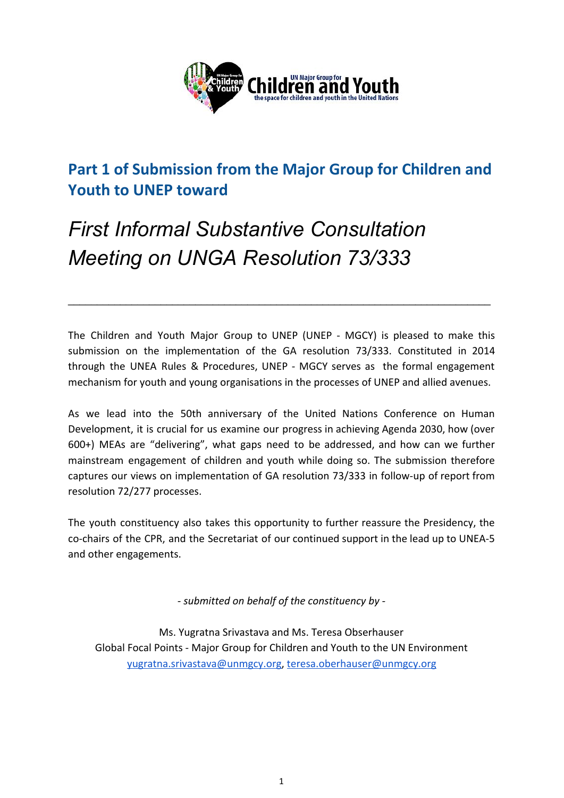

## **Part 1 of Submission from the Major Group for Children and Youth to UNEP toward**

# *First Informal Substantive Consultation Meeting on UNGA Resolution 73/333*

The Children and Youth Major Group to UNEP (UNEP - MGCY) is pleased to make this submission on the implementation of the GA resolution 73/333. Constituted in 2014 through the UNEA Rules & Procedures, UNEP - MGCY serves as the formal engagement mechanism for youth and young organisations in the processes of UNEP and allied avenues.

\_\_\_\_\_\_\_\_\_\_\_\_\_\_\_\_\_\_\_\_\_\_\_\_\_\_\_\_\_\_\_\_\_\_\_\_\_\_\_\_\_\_\_\_\_\_\_\_\_\_\_\_\_\_\_\_\_\_\_\_\_\_\_\_\_\_\_\_\_\_\_\_\_

As we lead into the 50th anniversary of the United Nations Conference on Human Development, it is crucial for us examine our progress in achieving Agenda 2030, how (over 600+) MEAs are "delivering", what gaps need to be addressed, and how can we further mainstream engagement of children and youth while doing so. The submission therefore captures our views on implementation of GA resolution 73/333 in follow-up of report from resolution 72/277 processes.

The youth constituency also takes this opportunity to further reassure the Presidency, the co-chairs of the CPR, and the Secretariat of our continued support in the lead up to UNEA-5 and other engagements.

*- submitted on behalf of the constituency by -*

Ms. Yugratna Srivastava and Ms. Teresa Obserhauser Global Focal Points - Major Group for Children and Youth to the UN Environment [yugratna.srivastava@unmgcy.org](mailto:yugratna.srivastava@unmgcy.org), [teresa.oberhauser@unmgcy.org](mailto:teresa.obserhauser@unmgcy.org)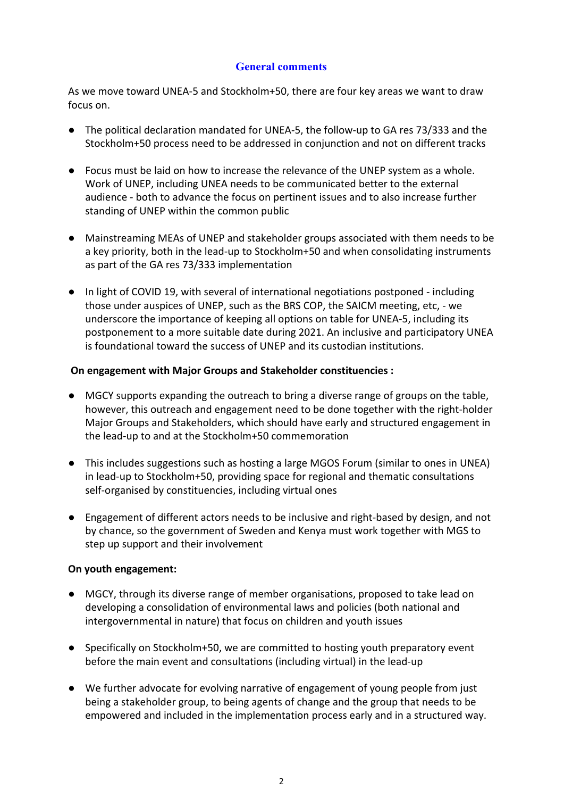#### **General comments**

As we move toward UNEA-5 and Stockholm+50, there are four key areas we want to draw focus on.

- The political declaration mandated for UNEA-5, the follow-up to GA res 73/333 and the Stockholm+50 process need to be addressed in conjunction and not on different tracks
- Focus must be laid on how to increase the relevance of the UNEP system as a whole. Work of UNEP, including UNEA needs to be communicated better to the external audience - both to advance the focus on pertinent issues and to also increase further standing of UNEP within the common public
- Mainstreaming MEAs of UNEP and stakeholder groups associated with them needs to be a key priority, both in the lead-up to Stockholm+50 and when consolidating instruments as part of the GA res 73/333 implementation
- In light of COVID 19, with several of international negotiations postponed including those under auspices of UNEP, such as the BRS COP, the SAICM meeting, etc, - we underscore the importance of keeping all options on table for UNEA-5, including its postponement to a more suitable date during 2021. An inclusive and participatory UNEA is foundational toward the success of UNEP and its custodian institutions.

#### **On engagement with Major Groups and Stakeholder constituencies :**

- MGCY supports expanding the outreach to bring a diverse range of groups on the table, however, this outreach and engagement need to be done together with the right-holder Major Groups and Stakeholders, which should have early and structured engagement in the lead-up to and at the Stockholm+50 commemoration
- This includes suggestions such as hosting a large MGOS Forum (similar to ones in UNEA) in lead-up to Stockholm+50, providing space for regional and thematic consultations self-organised by constituencies, including virtual ones
- Engagement of different actors needs to be inclusive and right-based by design, and not by chance, so the government of Sweden and Kenya must work together with MGS to step up support and their involvement

#### **On youth engagement:**

- MGCY, through its diverse range of member organisations, proposed to take lead on developing a consolidation of environmental laws and policies (both national and intergovernmental in nature) that focus on children and youth issues
- Specifically on Stockholm+50, we are committed to hosting youth preparatory event before the main event and consultations (including virtual) in the lead-up
- We further advocate for evolving narrative of engagement of young people from just being a stakeholder group, to being agents of change and the group that needs to be empowered and included in the implementation process early and in a structured way.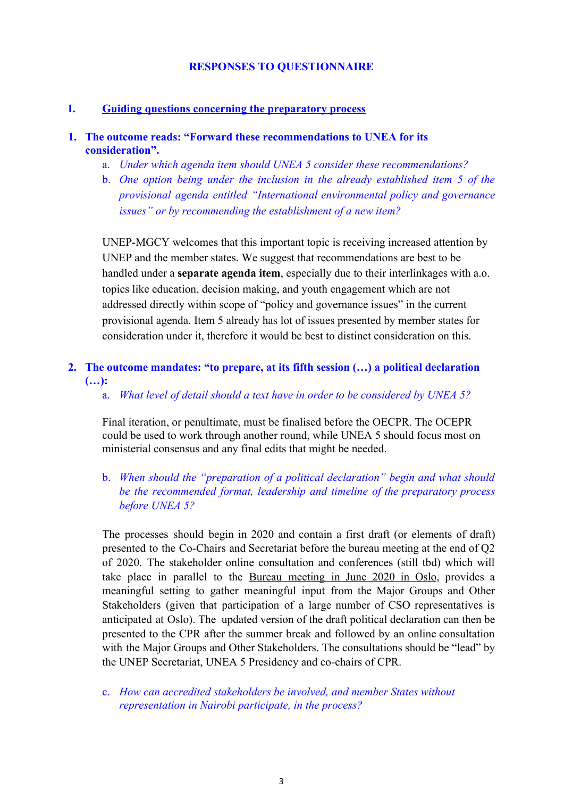#### **RESPONSES TO QUESTIONNAIRE**

#### **I. Guiding questions concerning the preparatory process**

#### **1. The outcome reads: "Forward these recommendations to UNEA for its consideration".**

- a. *Under which agenda item should UNEA 5 consider these recommendations?*
- b. *One option being under the inclusion in the already established item 5 of the provisional agenda entitled "International environmental policy and governance issues" or by recommending the establishment of a new item?*

UNEP-MGCY welcomes that this important topic is receiving increased attention by UNEP and the member states. We suggest that recommendations are best to be handled under a **separate agenda item**, especially due to their interlinkages with a.o. topics like education, decision making, and youth engagement which are not addressed directly within scope of "policy and governance issues" in the current provisional agenda. Item 5 already has lot of issues presented by member states for consideration under it, therefore it would be best to distinct consideration on this.

#### **2. The outcome mandates: "to prepare, at its fifth session (…) a political declaration (…):**

a. *What level of detail should a text have in order to be considered by UNEA 5?*

Final iteration, or penultimate, must be finalised before the OECPR. The OCEPR could be used to work through another round, while UNEA 5 should focus most on ministerial consensus and any final edits that might be needed.

b. *When should the "preparation of a political declaration" begin and what should be the recommended format, leadership and timeline of the preparatory process before UNEA 5?*

The processes should begin in 2020 and contain a first draft (or elements of draft) presented to the Co-Chairs and Secretariat before the bureau meeting at the end of Q2 of 2020. The stakeholder online consultation and conferences (still tbd) which will take place in parallel to the Bureau meeting in June 2020 in Oslo, provides a meaningful setting to gather meaningful input from the Major Groups and Other Stakeholders (given that participation of a large number of CSO representatives is anticipated at Oslo). The updated version of the draft political declaration can then be presented to the CPR after the summer break and followed by an online consultation with the Major Groups and Other Stakeholders. The consultations should be "lead" by the UNEP Secretariat, UNEA 5 Presidency and co-chairs of CPR.

c. *How can accredited stakeholders be involved, and member States without representation in Nairobi participate, in the process?*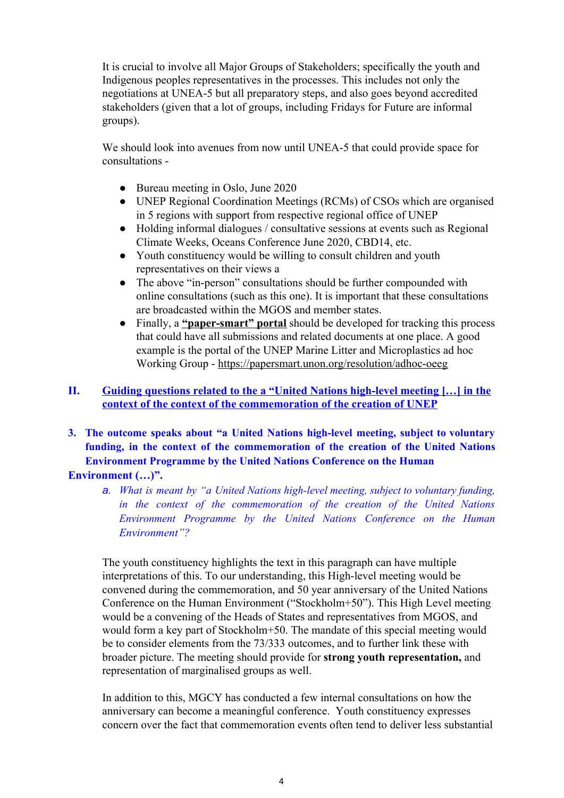It is crucial to involve all Major Groups of Stakeholders; specifically the youth and Indigenous peoples representatives in the processes. This includes not only the negotiations at UNEA-5 but all preparatory steps, and also goes beyond accredited stakeholders (given that a lot of groups, including Fridays for Future are informal groups).

We should look into avenues from now until UNEA-5 that could provide space for consultations -

- Bureau meeting in Oslo, June 2020
- UNEP Regional Coordination Meetings (RCMs) of CSOs which are organised in 5 regions with support from respective regional office of UNEP
- Holding informal dialogues / consultative sessions at events such as Regional Climate Weeks, Oceans Conference June 2020, CBD14, etc.
- Youth constituency would be willing to consult children and youth representatives on their views a
- The above "in-person" consultations should be further compounded with online consultations (such as this one). It is important that these consultations are broadcasted within the MGOS and member states.
- Finally, a **"paper-smart" portal** should be developed for tracking this process that could have all submissions and related documents at one place. A good example is the portal of the UNEP Marine Litter and Microplastics ad hoc Working Group -<https://papersmart.unon.org/resolution/adhoc-oeeg>

#### **II. Guiding questions related to the a "United Nations high-level meeting […] in the context of the context of the commemoration of the creation of UNEP**

- **3. The outcome speaks about "a United Nations high-level meeting, subject to voluntary funding, in the context of the commemoration of the creation of the United Nations Environment Programme by the United Nations Conference on the Human Environment (…)".**
	- *a. What is meant by "a United Nations high-level meeting, subject to voluntary funding, in the context of the commemoration of the creation of the United Nations Environment Programme by the United Nations Conference on the Human Environment"?*

The youth constituency highlights the text in this paragraph can have multiple interpretations of this. To our understanding, this High-level meeting would be convened during the commemoration, and 50 year anniversary of the United Nations Conference on the Human Environment ("Stockholm+50"). This High Level meeting would be a convening of the Heads of States and representatives from MGOS, and would form a key part of Stockholm+50. The mandate of this special meeting would be to consider elements from the 73/333 outcomes, and to further link these with broader picture. The meeting should provide for **strong youth representation,** and representation of marginalised groups as well.

In addition to this, MGCY has conducted a few internal consultations on how the anniversary can become a meaningful conference. Youth constituency expresses concern over the fact that commemoration events often tend to deliver less substantial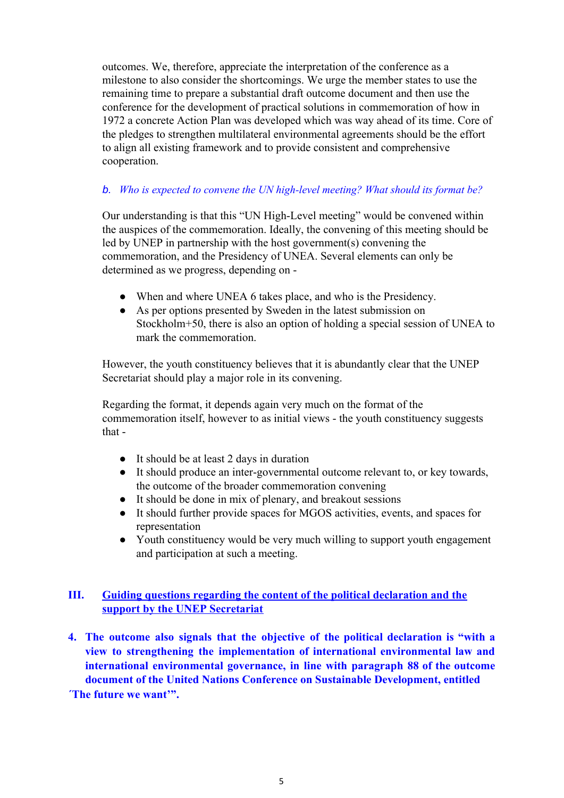outcomes. We, therefore, appreciate the interpretation of the conference as a milestone to also consider the shortcomings. We urge the member states to use the remaining time to prepare a substantial draft outcome document and then use the conference for the development of practical solutions in commemoration of how in 1972 a concrete Action Plan was developed which was way ahead of its time. Core of the pledges to strengthen multilateral environmental agreements should be the effort to align all existing framework and to provide consistent and comprehensive cooperation.

### *b. Who is expected to convene the UN high-level meeting? What should its format be?*

Our understanding is that this "UN High-Level meeting" would be convened within the auspices of the commemoration. Ideally, the convening of this meeting should be led by UNEP in partnership with the host government(s) convening the commemoration, and the Presidency of UNEA. Several elements can only be determined as we progress, depending on -

- When and where UNEA 6 takes place, and who is the Presidency.
- As per options presented by Sweden in the latest submission on Stockholm+50, there is also an option of holding a special session of UNEA to mark the commemoration.

However, the youth constituency believes that it is abundantly clear that the UNEP Secretariat should play a major role in its convening.

Regarding the format, it depends again very much on the format of the commemoration itself, however to as initial views - the youth constituency suggests that -

- It should be at least 2 days in duration
- It should produce an inter-governmental outcome relevant to, or key towards, the outcome of the broader commemoration convening
- It should be done in mix of plenary, and breakout sessions
- It should further provide spaces for MGOS activities, events, and spaces for representation
- Youth constituency would be very much willing to support youth engagement and participation at such a meeting.

### **III. Guiding questions regarding the content of the political declaration and the support by the UNEP Secretariat**

**4. The outcome also signals that the objective of the political declaration is "with a view to strengthening the implementation of international environmental law and international environmental governance, in line with paragraph 88 of the outcome document of the United Nations Conference on Sustainable Development, entitled**

**´The future we want'".**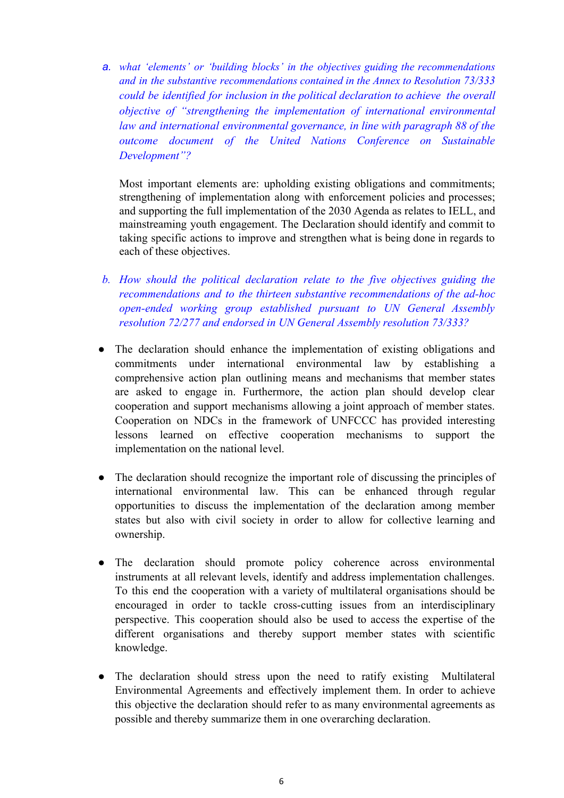*a. what 'elements' or 'building blocks' in the objectives guiding the recommendations and in the substantive recommendations contained in the Annex to Resolution 73/333 could be identified for inclusion in the political declaration to achieve the overall objective of "strengthening the implementation of international environmental law and international environmental governance, in line with paragraph 88 of the outcome document of the United Nations Conference on Sustainable Development"?*

Most important elements are: upholding existing obligations and commitments; strengthening of implementation along with enforcement policies and processes; and supporting the full implementation of the 2030 Agenda as relates to IELL, and mainstreaming youth engagement. The Declaration should identify and commit to taking specific actions to improve and strengthen what is being done in regards to each of these objectives.

- *b. How should the political declaration relate to the five objectives guiding the recommendations and to the thirteen substantive recommendations of the ad-hoc open-ended working group established pursuant to UN General Assembly resolution 72/277 and endorsed in UN General Assembly resolution 73/333?*
- The declaration should enhance the implementation of existing obligations and commitments under international environmental law by establishing a comprehensive action plan outlining means and mechanisms that member states are asked to engage in. Furthermore, the action plan should develop clear cooperation and support mechanisms allowing a joint approach of member states. Cooperation on NDCs in the framework of UNFCCC has provided interesting lessons learned on effective cooperation mechanisms to support the implementation on the national level.
- The declaration should recognize the important role of discussing the principles of international environmental law. This can be enhanced through regular opportunities to discuss the implementation of the declaration among member states but also with civil society in order to allow for collective learning and ownership.
- The declaration should promote policy coherence across environmental instruments at all relevant levels, identify and address implementation challenges. To this end the cooperation with a variety of multilateral organisations should be encouraged in order to tackle cross-cutting issues from an interdisciplinary perspective. This cooperation should also be used to access the expertise of the different organisations and thereby support member states with scientific knowledge.
- The declaration should stress upon the need to ratify existing Multilateral Environmental Agreements and effectively implement them. In order to achieve this objective the declaration should refer to as many environmental agreements as possible and thereby summarize them in one overarching declaration.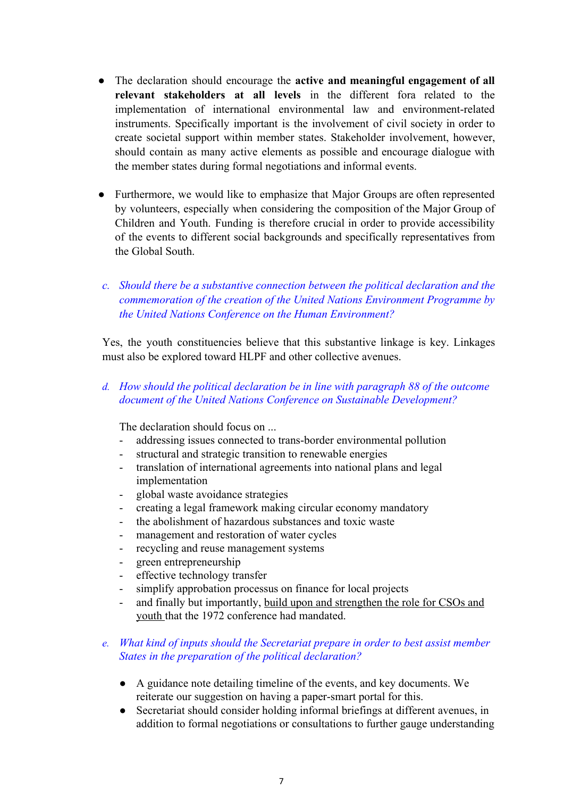- The declaration should encourage the **active and meaningful engagement of all relevant stakeholders at all levels** in the different fora related to the implementation of international environmental law and environment-related instruments. Specifically important is the involvement of civil society in order to create societal support within member states. Stakeholder involvement, however, should contain as many active elements as possible and encourage dialogue with the member states during formal negotiations and informal events.
- Furthermore, we would like to emphasize that Major Groups are often represented by volunteers, especially when considering the composition of the Major Group of Children and Youth. Funding is therefore crucial in order to provide accessibility of the events to different social backgrounds and specifically representatives from the Global South.
- *c. Should there be a substantive connection between the political declaration and the commemoration of the creation of the United Nations Environment Programme by the United Nations Conference on the Human Environment?*

Yes, the youth constituencies believe that this substantive linkage is key. Linkages must also be explored toward HLPF and other collective avenues.

*d. How should the political declaration be in line with paragraph 88 of the outcome document of the United Nations Conference on Sustainable Development?*

The declaration should focus on ...

- addressing issues connected to trans-border environmental pollution
- structural and strategic transition to renewable energies
- translation of international agreements into national plans and legal implementation
- global waste avoidance strategies
- creating a legal framework making circular economy mandatory
- the abolishment of hazardous substances and toxic waste
- management and restoration of water cycles
- recycling and reuse management systems
- green entrepreneurship
- effective technology transfer
- simplify approbation processus on finance for local projects
- and finally but importantly, build upon and strengthen the role for CSOs and youth that the 1972 conference had mandated.

#### *e. What kind of inputs should the Secretariat prepare in order to best assist member States in the preparation of the political declaration?*

- *●* A guidance note detailing timeline of the events, and key documents. We reiterate our suggestion on having a paper-smart portal for this.
- *●* Secretariat should consider holding informal briefings at different avenues, in addition to formal negotiations or consultations to further gauge understanding